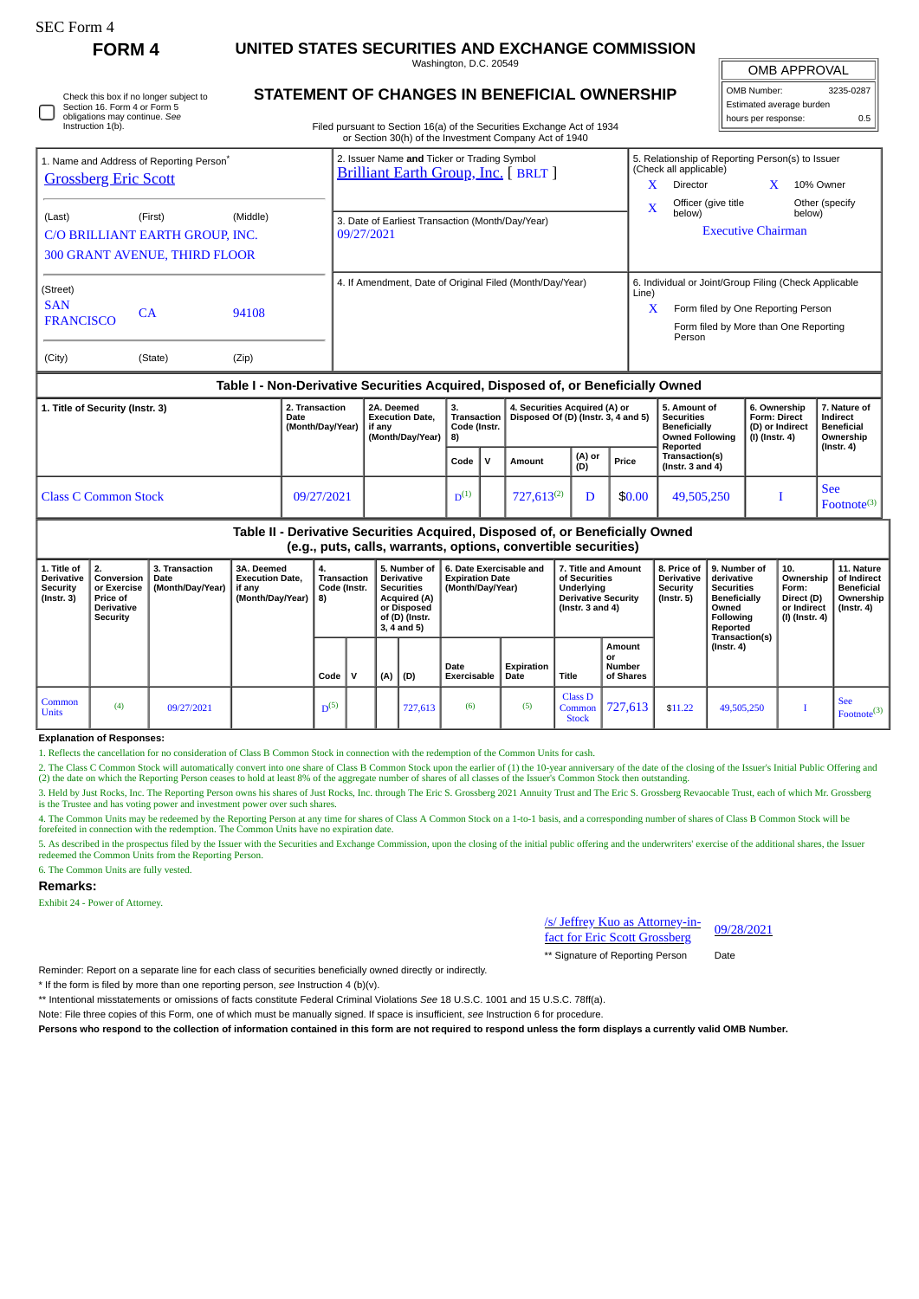| SEC Form 4 |  |
|------------|--|
|------------|--|

# **FORM 4 UNITED STATES SECURITIES AND EXCHANGE COMMISSION**

Washington, D.C. 20549 **STATEMENT OF CHANGES IN BENEFICIAL OWNERSHIP**

OMB APPROVAL

| 3235-0287<br>OMB Number: |     |  |  |  |  |  |  |  |  |  |
|--------------------------|-----|--|--|--|--|--|--|--|--|--|
| Estimated average burden |     |  |  |  |  |  |  |  |  |  |
| hours per response:      | 0.5 |  |  |  |  |  |  |  |  |  |

Filed pursuant to Section 16(a) of the Securities Exchange Act of 1934 or Section 30(h) of the Investment Company Act of 1940 Check this box if no longer subject to Section 16. Form 4 or Form 5 obligations may continue. *See* Instruction 1(b).

| 1. Name and Address of Reporting Person <sup>*</sup><br><b>Grossberg Eric Scott</b> |                                 |          | 2. Issuer Name and Ticker or Trading Symbol<br><b>Brilliant Earth Group, Inc.</b> [ BRLT ] | 5. Relationship of Reporting Person(s) to Issuer<br>(Check all applicable) |                                                 |  |                          |  |  |
|-------------------------------------------------------------------------------------|---------------------------------|----------|--------------------------------------------------------------------------------------------|----------------------------------------------------------------------------|-------------------------------------------------|--|--------------------------|--|--|
|                                                                                     |                                 |          |                                                                                            | X                                                                          | <b>Director</b>                                 |  | 10% Owner                |  |  |
| (Last)                                                                              | (First)                         | (Middle) |                                                                                            | X                                                                          | Officer (give title<br>below)                   |  | Other (specify<br>below) |  |  |
|                                                                                     | C/O BRILLIANT EARTH GROUP, INC. |          | 3. Date of Earliest Transaction (Month/Day/Year)<br>09/27/2021                             |                                                                            | <b>Executive Chairman</b>                       |  |                          |  |  |
| <b>300 GRANT AVENUE, THIRD FLOOR</b>                                                |                                 |          |                                                                                            |                                                                            |                                                 |  |                          |  |  |
| (Street)                                                                            |                                 |          | 4. If Amendment, Date of Original Filed (Month/Day/Year)                                   | 6. Individual or Joint/Group Filing (Check Applicable<br>Line)             |                                                 |  |                          |  |  |
| <b>SAN</b><br><b>FRANCISCO</b>                                                      | CA                              | 94108    |                                                                                            | X                                                                          | Form filed by One Reporting Person              |  |                          |  |  |
|                                                                                     |                                 |          |                                                                                            |                                                                            | Form filed by More than One Reporting<br>Person |  |                          |  |  |
| (City)                                                                              | (State)                         | (Zip)    |                                                                                            |                                                                            |                                                 |  |                          |  |  |

## **Table I - Non-Derivative Securities Acquired, Disposed of, or Beneficially Owned**

| 1. Title of Security (Instr. 3) | 2. Transaction<br><b>Date</b><br>(Month/Dav/Year) | 2A. Deemed<br><b>Execution Date.</b><br>if anv<br>(Month/Dav/Year)   8) | З.<br>Code (Instr. |  | 4. Securities Acquired (A) or<br>Transaction   Disposed Of (D) (Instr. 3, 4 and 5) |               |        | 5. Amount of<br>Securities<br><b>Beneficially</b><br>Owned Following<br>Reported | 6. Ownership<br><b>Form: Direct</b><br>(D) or Indirect<br>(I) (Instr. 4) | 7. Nature of<br>l Indirect<br>  Beneficial<br>Ownership<br>  (Instr. 4) |
|---------------------------------|---------------------------------------------------|-------------------------------------------------------------------------|--------------------|--|------------------------------------------------------------------------------------|---------------|--------|----------------------------------------------------------------------------------|--------------------------------------------------------------------------|-------------------------------------------------------------------------|
|                                 |                                                   |                                                                         | Code               |  | Amount                                                                             | (A) or<br>(D) | Price  | Transaction(s)<br>$ $ (Instr. 3 and 4)                                           |                                                                          |                                                                         |
| Class C Common Stock            | 09/27/2021                                        |                                                                         | $D^{(1)}$          |  | $727.613^{(2)}$                                                                    |               | \$0.00 | 49,505,250                                                                       |                                                                          | l See<br>$Fotnote^{(3)}$                                                |

## **Table II - Derivative Securities Acquired, Disposed of, or Beneficially Owned (e.g., puts, calls, warrants, options, convertible securities)**

| 1. Title of<br><b>Derivative</b><br><b>Security</b><br>(Instr. 3) | 2.<br>Conversion<br>or Exercise<br>Price of<br><b>Derivative</b><br>Security | 3. Transaction<br>Date<br>(Month/Day/Year) | 3A. Deemed<br><b>Execution Date.</b><br>if any<br>(Month/Day/Year) | 4.<br>Transaction<br>Code (Instr.<br>8) |  | 5. Number of<br><b>Derivative</b><br><b>Securities</b><br>Acquired (A)<br>or Disposed<br>of (D) (Instr.<br>3, 4 and 5) |         | 6. Date Exercisable and<br><b>Expiration Date</b><br>(Month/Day/Year) |                    | 7. Title and Amount<br>of Securities<br>Underlying<br><b>Derivative Security</b><br>(Instr. $3$ and $4$ ) |                                     | 8. Price of<br><b>Derivative</b><br>Security<br>$($ lnstr. 5 $)$ | 9. Number of<br>derivative<br><b>Securities</b><br>Beneficially<br>Owned<br>Following<br>Reported | 10.<br>Ownership<br>Form:<br>Direct (D)<br>or Indirect<br>(I) (Instr. 4) | 11. Nature<br>of Indirect<br><b>Beneficial</b><br>Ownership<br>$($ lnstr. 4 $)$ |
|-------------------------------------------------------------------|------------------------------------------------------------------------------|--------------------------------------------|--------------------------------------------------------------------|-----------------------------------------|--|------------------------------------------------------------------------------------------------------------------------|---------|-----------------------------------------------------------------------|--------------------|-----------------------------------------------------------------------------------------------------------|-------------------------------------|------------------------------------------------------------------|---------------------------------------------------------------------------------------------------|--------------------------------------------------------------------------|---------------------------------------------------------------------------------|
|                                                                   |                                                                              |                                            |                                                                    | Code   V                                |  | (A)                                                                                                                    | (D)     | Date<br>Exercisable                                                   | Expiration<br>Date | <b>Title</b>                                                                                              | Amount<br>or<br>Number<br>of Shares |                                                                  | Transaction(s)<br>(Instr. 4)                                                                      |                                                                          |                                                                                 |
| Common<br><b>Units</b>                                            | (4)                                                                          | 09/27/2021                                 |                                                                    | $D^{(5)}$                               |  |                                                                                                                        | 727,613 | (6)                                                                   | (5)                | <b>Class D</b><br>Common<br><b>Stock</b>                                                                  | 727,613                             | \$11.22                                                          | 49,505,250                                                                                        |                                                                          | <b>See</b><br>Footnote <sup>(3)</sup>                                           |

#### **Explanation of Responses:**

1. Reflects the cancellation for no consideration of Class B Common Stock in connection with the redemption of the Common Units for cash.

2. The Class C Common Stock will automatically convert into one share of Class B Common Stock upon the earlier of (1) the 10-year anniversary of the date of the closing of the Issuer's Initial Public Offering and (2) the date on which the Reporting Person ceases to hold at least 8% of the aggregate number of shares of all classes of the Issuer's Common Stock then outstanding.

3. Held by Just Rocks, Inc. The Reporting Person owns his shares of Just Rocks, Inc. through The Eric S. Grossberg 2021 Annuity Trust and The Eric S. Grossberg Revaocable Trust, each of which Mr. Grossberg is the Trustee and has voting power and investment power over such shares.

4. The Common Units may be redeemed by the Reporting Person at any time for shares of Class A Common Stock on a 1-to-1 basis, and a corresponding number of shares of Class B Common Stock will be forefeited in connection with the redemption. The Common Units have no expiration date.

5. As described in the prospectus filed by the Issuer with the Securities and Exchange Commission, upon the closing of the initial public offering and the underwriters' exercise of the additional shares, the Issuer redeeme

6. The Common Units are fully vested.

# **Remarks:**

Exhibit 24 - Power of Attorney.

/s/ Jeffrey Kuo as Attorney-infact for Eric Scott Grossberg

\*\* Signature of Reporting Person Date

Reminder: Report on a separate line for each class of securities beneficially owned directly or indirectly.

\* If the form is filed by more than one reporting person, *see* Instruction 4 (b)(v).

\*\* Intentional misstatements or omissions of facts constitute Federal Criminal Violations *See* 18 U.S.C. 1001 and 15 U.S.C. 78ff(a).

Note: File three copies of this Form, one of which must be manually signed. If space is insufficient, *see* Instruction 6 for procedure.

**Persons who respond to the collection of information contained in this form are not required to respond unless the form displays a currently valid OMB Number.**

09/28/2021